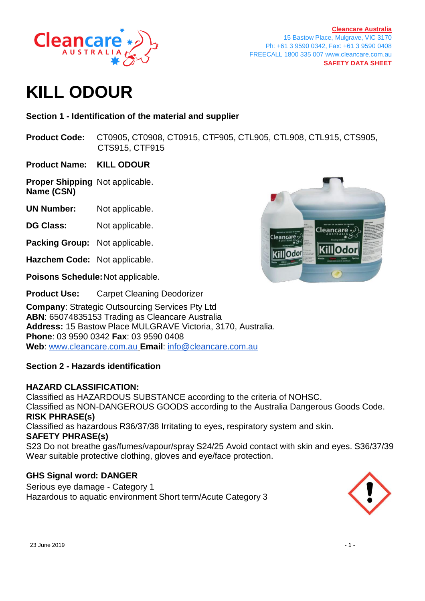

**[Cleancare Australia](https://www.cleancare.com.au/)** 15 Bastow Place, Mulgrave, VIC 3170 Ph: +61 3 9590 0342, Fax: +61 3 9590 0408 FREECALL 1800 335 007 www.cleancare.com.au **SAFETY DATA SHEET**

# **KILL ODOUR**

# **Section 1 - Identification of the material and supplier**

**Product Code:** CT0905, CT0908, CT0915, CTF905, CTL905, CTL908, CTL915, CTS905, CTS915, CTF915

**Product Name: KILL ODOUR**

**Proper Shipping** Not applicable. **Name (CSN)**

**UN Number:** Not applicable.

- **DG Class:** Not applicable.
- **Packing Group:** Not applicable.
- **Hazchem Code:** Not applicable.

**Poisons Schedule:**Not applicable.

**Product Use:** Carpet Cleaning Deodorizer

**Company**: Strategic Outsourcing Services Pty Ltd **ABN**: 65074835153 Trading as Cleancare Australia **Address:** 15 Bastow Place MULGRAVE Victoria, 3170, Australia. **Phone**: 03 9590 0342 **Fax**: 03 9590 0408 **Web**: [www.cleancare.com.au](http://www.cleancare.com.au/) **Email**: [info@cleancare.com.au](mailto:info@cleancare.com.au)

# **Section 2 - Hazards identification**

# **HAZARD CLASSIFICATION:**

Classified as HAZARDOUS SUBSTANCE according to the criteria of NOHSC. Classified as NON-DANGEROUS GOODS according to the Australia Dangerous Goods Code. **RISK PHRASE(s)** Classified as hazardous R36/37/38 Irritating to eyes, respiratory system and skin. **SAFETY PHRASE(s)**

S23 Do not breathe gas/fumes/vapour/spray S24/25 Avoid contact with skin and eyes. S36/37/39 Wear suitable protective clothing, gloves and eye/face protection.

# **GHS Signal word: DANGER**

Serious eye damage - Category 1 Hazardous to aquatic environment Short term/Acute Category 3



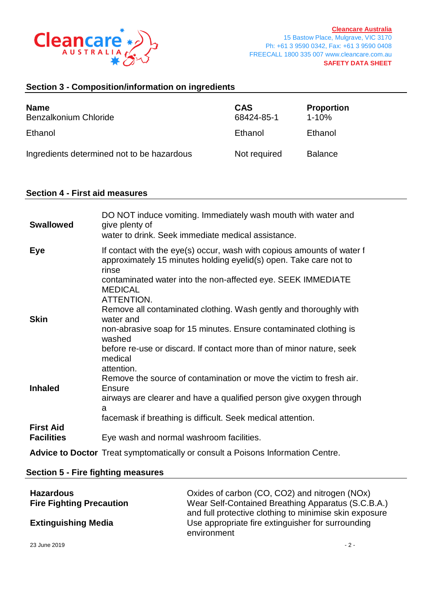

# **Section 3 - Composition/information on ingredients**

| <b>Name</b><br>Benzalkonium Chloride       | <b>CAS</b><br>68424-85-1 | <b>Proportion</b><br>$1 - 10%$ |
|--------------------------------------------|--------------------------|--------------------------------|
| Ethanol                                    | Ethanol                  | Ethanol                        |
| Ingredients determined not to be hazardous | Not required             | <b>Balance</b>                 |

#### **Section 4 - First aid measures**

| <b>Swallowed</b>                      | DO NOT induce vomiting. Immediately wash mouth with water and<br>give plenty of<br>water to drink. Seek immediate medical assistance.                                                                                                                                                                                                 |
|---------------------------------------|---------------------------------------------------------------------------------------------------------------------------------------------------------------------------------------------------------------------------------------------------------------------------------------------------------------------------------------|
| <b>Eye</b>                            | If contact with the eye(s) occur, wash with copious amounts of water f<br>approximately 15 minutes holding eyelid(s) open. Take care not to<br>rinse<br>contaminated water into the non-affected eye. SEEK IMMEDIATE<br><b>MEDICAL</b><br>ATTENTION.                                                                                  |
| <b>Skin</b>                           | Remove all contaminated clothing. Wash gently and thoroughly with<br>water and<br>non-abrasive soap for 15 minutes. Ensure contaminated clothing is<br>washed<br>before re-use or discard. If contact more than of minor nature, seek<br>medical<br>attention.<br>Remove the source of contamination or move the victim to fresh air. |
| <b>Inhaled</b>                        | Ensure<br>airways are clearer and have a qualified person give oxygen through<br>a<br>facemask if breathing is difficult. Seek medical attention.                                                                                                                                                                                     |
| <b>First Aid</b><br><b>Facilities</b> | Eye wash and normal washroom facilities.                                                                                                                                                                                                                                                                                              |
|                                       | Advice to Doctor Treat symptomatically or consult a Poisons Information Centre.                                                                                                                                                                                                                                                       |

#### **Section 5 - Fire fighting measures**

| <b>Hazardous</b>                | Oxides of carbon (CO, CO2) and nitrogen (NOx)                                                                              |
|---------------------------------|----------------------------------------------------------------------------------------------------------------------------|
| <b>Fire Fighting Precaution</b> | Wear Self-Contained Breathing Apparatus (S.C.B.A.)                                                                         |
| <b>Extinguishing Media</b>      | and full protective clothing to minimise skin exposure<br>Use appropriate fire extinguisher for surrounding<br>environment |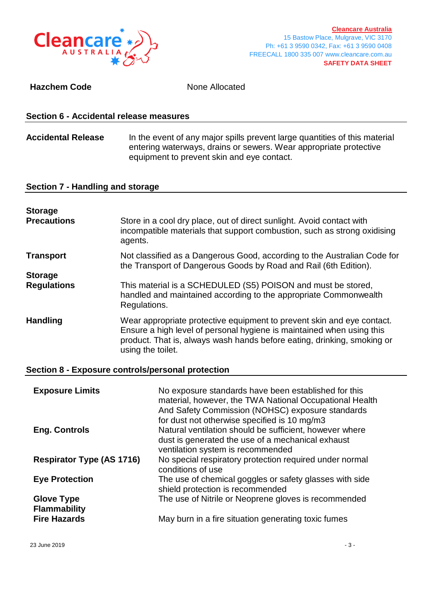

### **Hazchem Code** None Allocated

#### **Section 6 - Accidental release measures**

# Accidental Release In the event of any major spills prevent large quantities of this material entering waterways, drains or sewers. Wear appropriate protective equipment to prevent skin and eye contact.

# **Section 7 - Handling and storage**

| <b>Storage</b><br><b>Precautions</b> | Store in a cool dry place, out of direct sunlight. Avoid contact with<br>incompatible materials that support combustion, such as strong oxidising<br>agents.                                                                                    |
|--------------------------------------|-------------------------------------------------------------------------------------------------------------------------------------------------------------------------------------------------------------------------------------------------|
| <b>Transport</b>                     | Not classified as a Dangerous Good, according to the Australian Code for<br>the Transport of Dangerous Goods by Road and Rail (6th Edition).                                                                                                    |
| <b>Storage</b>                       |                                                                                                                                                                                                                                                 |
| <b>Regulations</b>                   | This material is a SCHEDULED (S5) POISON and must be stored,<br>handled and maintained according to the appropriate Commonwealth<br>Regulations.                                                                                                |
| <b>Handling</b>                      | Wear appropriate protective equipment to prevent skin and eye contact.<br>Ensure a high level of personal hygiene is maintained when using this<br>product. That is, always wash hands before eating, drinking, smoking or<br>using the toilet. |

#### **Section 8 - Exposure controls/personal protection**

| <b>Exposure Limits</b>                   | No exposure standards have been established for this<br>material, however, the TWA National Occupational Health<br>And Safety Commission (NOHSC) exposure standards<br>for dust not otherwise specified is 10 mg/m3 |
|------------------------------------------|---------------------------------------------------------------------------------------------------------------------------------------------------------------------------------------------------------------------|
| <b>Eng. Controls</b>                     | Natural ventilation should be sufficient, however where<br>dust is generated the use of a mechanical exhaust<br>ventilation system is recommended                                                                   |
| <b>Respirator Type (AS 1716)</b>         | No special respiratory protection required under normal<br>conditions of use                                                                                                                                        |
| <b>Eye Protection</b>                    | The use of chemical goggles or safety glasses with side<br>shield protection is recommended                                                                                                                         |
| <b>Glove Type</b><br><b>Flammability</b> | The use of Nitrile or Neoprene gloves is recommended                                                                                                                                                                |
| <b>Fire Hazards</b>                      | May burn in a fire situation generating toxic fumes                                                                                                                                                                 |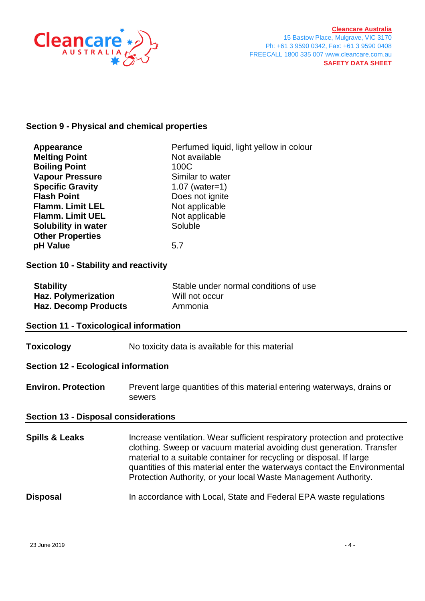

# **Section 9 - Physical and chemical properties**

| Appearance<br><b>Melting Point</b><br><b>Boiling Point</b><br><b>Vapour Pressure</b><br><b>Specific Gravity</b><br><b>Flash Point</b><br><b>Flamm. Limit LEL</b><br><b>Flamm. Limit UEL</b><br><b>Solubility in water</b><br><b>Other Properties</b> | Perfumed liquid, light yellow in colour<br>Not available<br>100C<br>Similar to water<br>$1.07$ (water=1)<br>Does not ignite<br>Not applicable<br>Not applicable<br>Soluble                                                                                                                                                                                                   |  |  |  |
|------------------------------------------------------------------------------------------------------------------------------------------------------------------------------------------------------------------------------------------------------|------------------------------------------------------------------------------------------------------------------------------------------------------------------------------------------------------------------------------------------------------------------------------------------------------------------------------------------------------------------------------|--|--|--|
| pH Value<br>5.7<br>Section 10 - Stability and reactivity                                                                                                                                                                                             |                                                                                                                                                                                                                                                                                                                                                                              |  |  |  |
| Stable under normal conditions of use<br><b>Stability</b><br><b>Haz. Polymerization</b><br>Will not occur<br><b>Haz. Decomp Products</b><br>Ammonia<br><b>Section 11 - Toxicological information</b>                                                 |                                                                                                                                                                                                                                                                                                                                                                              |  |  |  |
| <b>Toxicology</b><br><b>Section 12 - Ecological information</b>                                                                                                                                                                                      | No toxicity data is available for this material                                                                                                                                                                                                                                                                                                                              |  |  |  |
| <b>Environ. Protection</b>                                                                                                                                                                                                                           | Prevent large quantities of this material entering waterways, drains or<br>sewers                                                                                                                                                                                                                                                                                            |  |  |  |
| <b>Section 13 - Disposal considerations</b>                                                                                                                                                                                                          |                                                                                                                                                                                                                                                                                                                                                                              |  |  |  |
| <b>Spills &amp; Leaks</b>                                                                                                                                                                                                                            | Increase ventilation. Wear sufficient respiratory protection and protective<br>clothing. Sweep or vacuum material avoiding dust generation. Transfer<br>material to a suitable container for recycling or disposal. If large<br>quantities of this material enter the waterways contact the Environmental<br>Protection Authority, or your local Waste Management Authority. |  |  |  |
| <b>Disposal</b>                                                                                                                                                                                                                                      | In accordance with Local, State and Federal EPA waste regulations                                                                                                                                                                                                                                                                                                            |  |  |  |